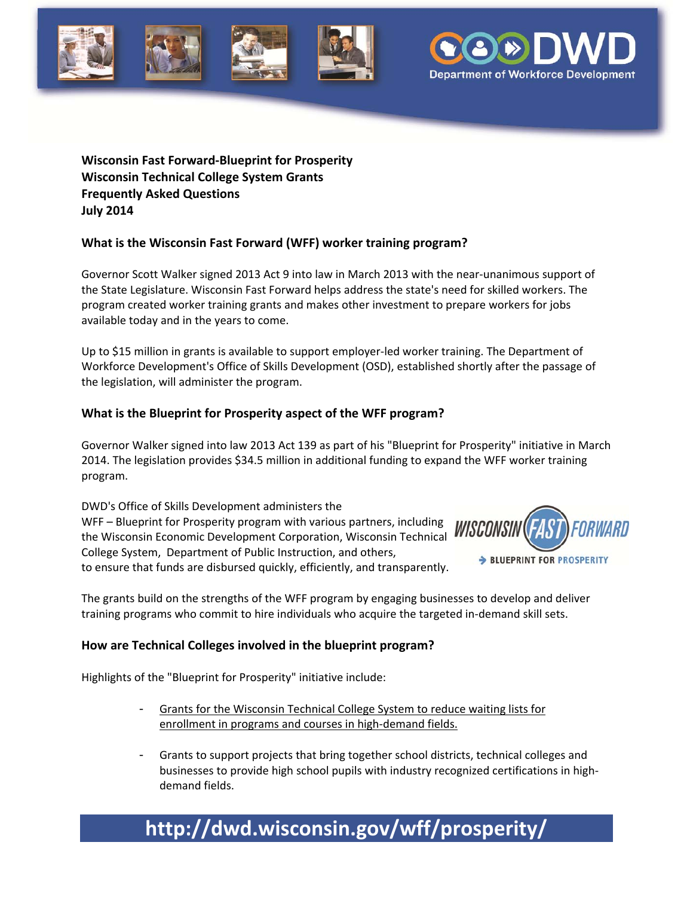



**Wisconsin Fast Forward‐Blueprint for Prosperity Wisconsin Technical College System Grants Frequently Asked Questions July 2014**

### **What is the Wisconsin Fast Forward (WFF) worker training program?**

Governor Scott Walker signed 2013 Act 9 into law in March 2013 with the near-unanimous support of the State Legislature. Wisconsin Fast Forward helps address the state's need for skilled workers. The program created worker training grants and makes other investment to prepare workers for jobs available today and in the years to come.

Up to \$15 million in grants is available to support employer-led worker training. The Department of Workforce Development's Office of Skills Development (OSD), established shortly after the passage of the legislation, will administer the program.

### **What is the Blueprint for Prosperity aspect of the WFF program?**

Governor Walker signed into law 2013 Act 139 as part of his "Blueprint for Prosperity" initiative in March 2014. The legislation provides \$34.5 million in additional funding to expand the WFF worker training program.

DWD's Office of Skills Development administers the WFF – Blueprint for Prosperity program with various partners, including the Wisconsin Economic Development Corporation, Wisconsin Technical College System, Department of Public Instruction, and others, to ensure that funds are disbursed quickly, efficiently, and transparently.



The grants build on the strengths of the WFF program by engaging businesses to develop and deliver training programs who commit to hire individuals who acquire the targeted in‐demand skill sets.

### **How are Technical Colleges involved in the blueprint program?**

Highlights of the "Blueprint for Prosperity" initiative include:

- Grants for the Wisconsin Technical College System to reduce waiting lists for enrollment in programs and courses in high-demand fields.
- Grants to support projects that bring together school districts, technical colleges and businesses to provide high school pupils with industry recognized certifications in high‐ demand fields.

## **http://dwd.wisconsin.gov/wff/prosperity/**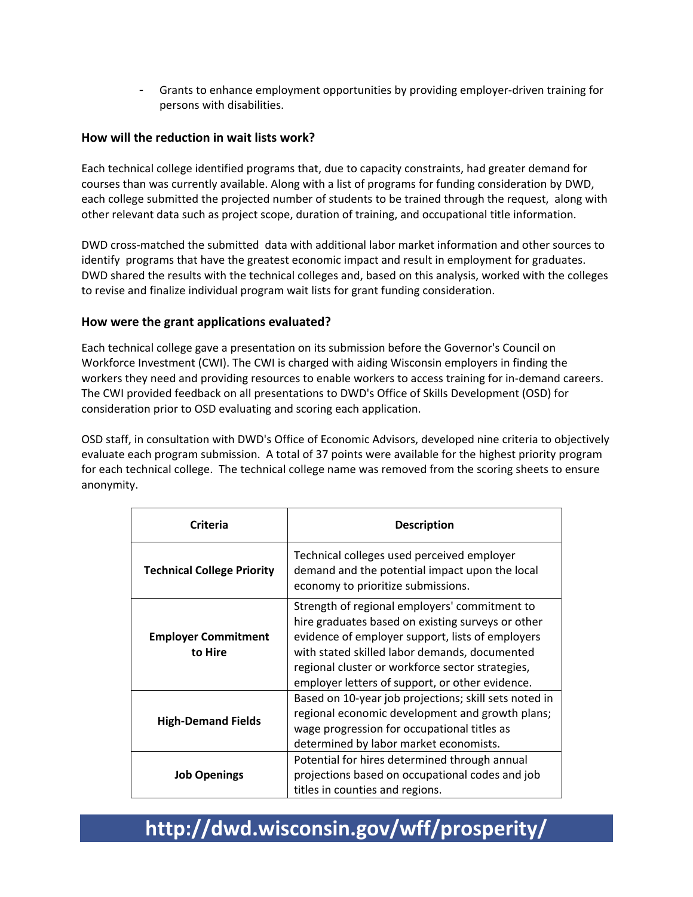- Grants to enhance employment opportunities by providing employer‐driven training for persons with disabilities.

### **How will the reduction in wait lists work?**

Each technical college identified programs that, due to capacity constraints, had greater demand for courses than was currently available. Along with a list of programs for funding consideration by DWD, each college submitted the projected number of students to be trained through the request, along with other relevant data such as project scope, duration of training, and occupational title information.

DWD cross‐matched the submitted data with additional labor market information and other sources to identify programs that have the greatest economic impact and result in employment for graduates. DWD shared the results with the technical colleges and, based on this analysis, worked with the colleges to revise and finalize individual program wait lists for grant funding consideration.

#### **How were the grant applications evaluated?**

Each technical college gave a presentation on its submission before the Governor's Council on Workforce Investment (CWI). The CWI is charged with aiding Wisconsin employers in finding the workers they need and providing resources to enable workers to access training for in‐demand careers. The CWI provided feedback on all presentations to DWD's Office of Skills Development (OSD) for consideration prior to OSD evaluating and scoring each application.

OSD staff, in consultation with DWD's Office of Economic Advisors, developed nine criteria to objectively evaluate each program submission. A total of 37 points were available for the highest priority program for each technical college. The technical college name was removed from the scoring sheets to ensure anonymity.

| Criteria                              | <b>Description</b>                                                                                                                                                                                                                                                                                             |
|---------------------------------------|----------------------------------------------------------------------------------------------------------------------------------------------------------------------------------------------------------------------------------------------------------------------------------------------------------------|
| <b>Technical College Priority</b>     | Technical colleges used perceived employer<br>demand and the potential impact upon the local<br>economy to prioritize submissions.                                                                                                                                                                             |
| <b>Employer Commitment</b><br>to Hire | Strength of regional employers' commitment to<br>hire graduates based on existing surveys or other<br>evidence of employer support, lists of employers<br>with stated skilled labor demands, documented<br>regional cluster or workforce sector strategies,<br>employer letters of support, or other evidence. |
| <b>High-Demand Fields</b>             | Based on 10-year job projections; skill sets noted in<br>regional economic development and growth plans;<br>wage progression for occupational titles as<br>determined by labor market economists.                                                                                                              |
| <b>Job Openings</b>                   | Potential for hires determined through annual<br>projections based on occupational codes and job<br>titles in counties and regions.                                                                                                                                                                            |

## **http://dwd.wisconsin.gov/wff/prosperity/**